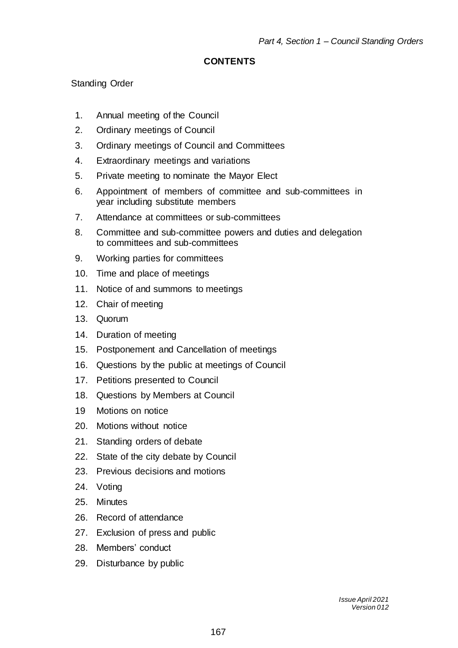### **CONTENTS**

# Standing Order

- 1. Annual meeting of the Council
- 2. Ordinary meetings of Council
- 3. Ordinary meetings of Council and Committees
- 4. Extraordinary meetings and variations
- 5. Private meeting to nominate the Mayor Elect
- 6. Appointment of members of committee and sub-committees in year including substitute members
- 7. Attendance at committees or sub-committees
- 8. Committee and sub-committee powers and duties and delegation to committees and sub-committees
- 9. Working parties for committees
- 10. Time and place of meetings
- 11. Notice of and summons to meetings
- 12. Chair of meeting
- 13. Quorum
- 14. Duration of meeting
- 15. Postponement and Cancellation of meetings
- 16. Questions by the public at meetings of Council
- 17. Petitions presented to Council
- 18. Questions by Members at Council
- 19 Motions on notice
- 20. Motions without notice
- 21. Standing orders of debate
- 22. State of the city debate by Council
- 23. Previous decisions and motions
- 24. Voting
- 25. Minutes
- 26. Record of attendance
- 27. Exclusion of press and public
- 28. Members' conduct
- 29. Disturbance by public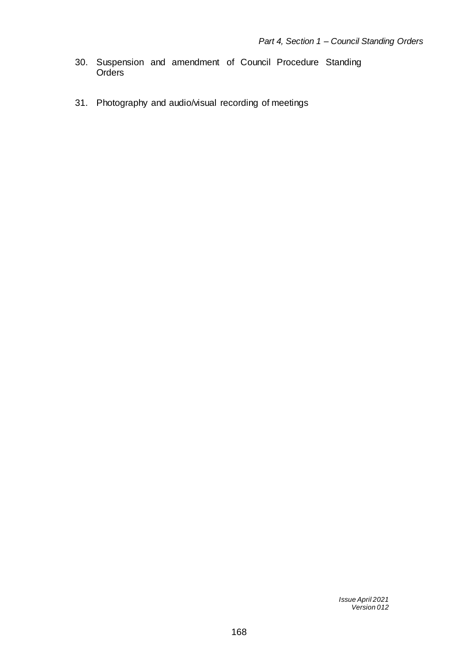- 30. Suspension and amendment of Council Procedure Standing **Orders**
- 31. Photography and audio/visual recording of meetings

*Issue April 2021 Version 012*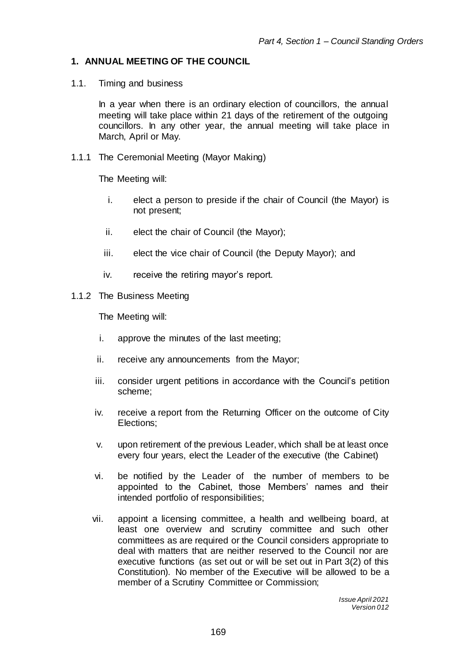## **1. ANNUAL MEETING OF THE COUNCIL**

1.1. Timing and business

In a year when there is an ordinary election of councillors, the annual meeting will take place within 21 days of the retirement of the outgoing councillors. In any other year, the annual meeting will take place in March, April or May.

1.1.1 The Ceremonial Meeting (Mayor Making)

The Meeting will:

- i. elect a person to preside if the chair of Council (the Mayor) is not present;
- ii. elect the chair of Council (the Mayor);
- iii. elect the vice chair of Council (the Deputy Mayor); and
- iv. receive the retiring mayor's report.
- 1.1.2 The Business Meeting

The Meeting will:

- i. approve the minutes of the last meeting;
- ii. receive any announcements from the Mayor;
- iii. consider urgent petitions in accordance with the Council's petition scheme;
- iv. receive a report from the Returning Officer on the outcome of City Elections;
- v. upon retirement of the previous Leader, which shall be at least once every four years, elect the Leader of the executive (the Cabinet)
- vi. be notified by the Leader of the number of members to be appointed to the Cabinet, those Members' names and their intended portfolio of responsibilities;
- vii. appoint a licensing committee, a health and wellbeing board, at least one overview and scrutiny committee and such other committees as are required or the Council considers appropriate to deal with matters that are neither reserved to the Council nor are executive functions (as set out or will be set out in Part 3(2) of this Constitution). No member of the Executive will be allowed to be a member of a Scrutiny Committee or Commission;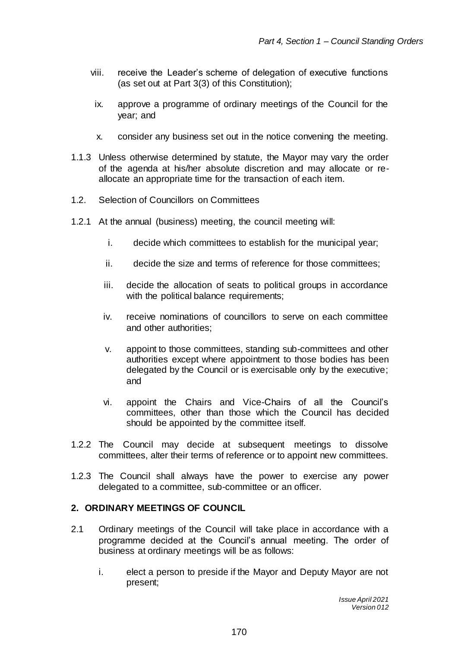- viii. receive the Leader's scheme of delegation of executive functions (as set out at Part 3(3) of this Constitution);
- ix. approve a programme of ordinary meetings of the Council for the year; and
- x. consider any business set out in the notice convening the meeting.
- 1.1.3 Unless otherwise determined by statute, the Mayor may vary the order of the agenda at his/her absolute discretion and may allocate or reallocate an appropriate time for the transaction of each item.
- 1.2. Selection of Councillors on Committees
- 1.2.1 At the annual (business) meeting, the council meeting will:
	- i. decide which committees to establish for the municipal year;
	- ii. decide the size and terms of reference for those committees;
	- iii. decide the allocation of seats to political groups in accordance with the political balance requirements;
	- iv. receive nominations of councillors to serve on each committee and other authorities;
	- v. appoint to those committees, standing sub-committees and other authorities except where appointment to those bodies has been delegated by the Council or is exercisable only by the executive; and
	- vi. appoint the Chairs and Vice-Chairs of all the Council's committees, other than those which the Council has decided should be appointed by the committee itself.
- 1.2.2 The Council may decide at subsequent meetings to dissolve committees, alter their terms of reference or to appoint new committees.
- 1.2.3 The Council shall always have the power to exercise any power delegated to a committee, sub-committee or an officer.

### **2. ORDINARY MEETINGS OF COUNCIL**

- 2.1 Ordinary meetings of the Council will take place in accordance with a programme decided at the Council's annual meeting. The order of business at ordinary meetings will be as follows:
	- i. elect a person to preside if the Mayor and Deputy Mayor are not present;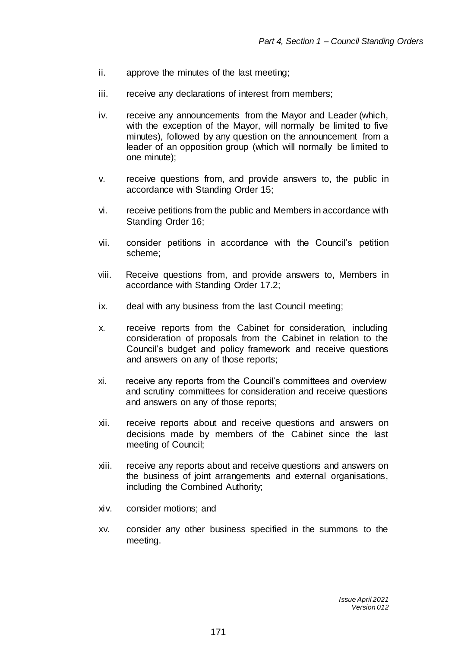- ii. approve the minutes of the last meeting;
- iii. receive any declarations of interest from members;
- iv. receive any announcements from the Mayor and Leader (which, with the exception of the Mayor, will normally be limited to five minutes), followed by any question on the announcement from a leader of an opposition group (which will normally be limited to one minute);
- v. receive questions from, and provide answers to, the public in accordance with Standing Order 15;
- vi. receive petitions from the public and Members in accordance with Standing Order 16;
- vii. consider petitions in accordance with the Council's petition scheme;
- viii. Receive questions from, and provide answers to, Members in accordance with Standing Order 17.2;
- ix. deal with any business from the last Council meeting;
- x. receive reports from the Cabinet for consideration, including consideration of proposals from the Cabinet in relation to the Council's budget and policy framework and receive questions and answers on any of those reports;
- xi. receive any reports from the Council's committees and overview and scrutiny committees for consideration and receive questions and answers on any of those reports;
- xii. receive reports about and receive questions and answers on decisions made by members of the Cabinet since the last meeting of Council;
- xiii. receive any reports about and receive questions and answers on the business of joint arrangements and external organisations, including the Combined Authority;
- xiv. consider motions; and
- xv. consider any other business specified in the summons to the meeting.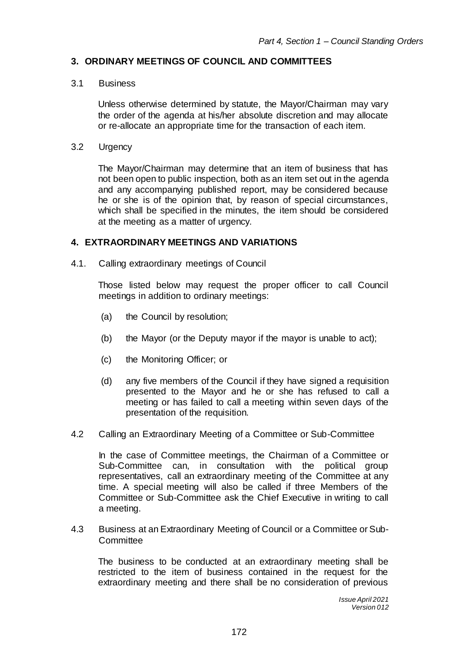### **3. ORDINARY MEETINGS OF COUNCIL AND COMMITTEES**

#### 3.1 Business

Unless otherwise determined by statute, the Mayor/Chairman may vary the order of the agenda at his/her absolute discretion and may allocate or re-allocate an appropriate time for the transaction of each item.

3.2 Urgency

The Mayor/Chairman may determine that an item of business that has not been open to public inspection, both as an item set out in the agenda and any accompanying published report, may be considered because he or she is of the opinion that, by reason of special circumstances, which shall be specified in the minutes, the item should be considered at the meeting as a matter of urgency.

### **4. EXTRAORDINARY MEETINGS AND VARIATIONS**

4.1. Calling extraordinary meetings of Council

Those listed below may request the proper officer to call Council meetings in addition to ordinary meetings:

- (a) the Council by resolution;
- (b) the Mayor (or the Deputy mayor if the mayor is unable to act);
- (c) the Monitoring Officer; or
- (d) any five members of the Council if they have signed a requisition presented to the Mayor and he or she has refused to call a meeting or has failed to call a meeting within seven days of the presentation of the requisition.
- 4.2 Calling an Extraordinary Meeting of a Committee or Sub-Committee

In the case of Committee meetings, the Chairman of a Committee or Sub-Committee can, in consultation with the political group representatives, call an extraordinary meeting of the Committee at any time. A special meeting will also be called if three Members of the Committee or Sub-Committee ask the Chief Executive in writing to call a meeting.

4.3 Business at an Extraordinary Meeting of Council or a Committee or Sub-**Committee** 

The business to be conducted at an extraordinary meeting shall be restricted to the item of business contained in the request for the extraordinary meeting and there shall be no consideration of previous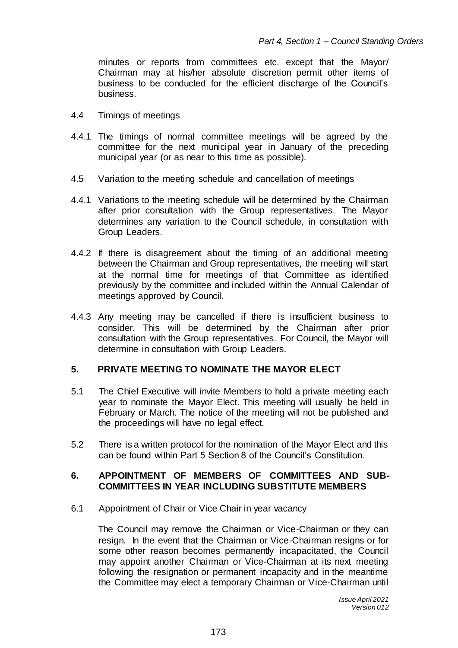minutes or reports from committees etc. except that the [Mayor/](http://clients.bonddickinson.com/SmartPrecedentServer/control/SmartPrecedent/revisitText?id=0%40%2Ffiles%2Flogic%2FCounty+Council+Constitution+-+ALL+ARTICLES+-+05.11.12.lgc%23CouncilCeremonialMayor.yes&returndest=eXC_Paragraph_95&tag=1105298395) Chairman may at his/her absolute discretion permit other items of business to be conducted for the efficient discharge of the Council's business.

- 4.4Timings of meetings
- 4.4.1 The timings of normal committee meetings will be agreed by the committee for the next municipal year in January of the preceding municipal year (or as near to this time as possible).
- 4.5 Variation to the meeting schedule and cancellation of meetings
- 4.4.1 Variations to the meeting schedule will be determined by the Chairman after prior consultation with the Group representatives. The Mayor determines any variation to the Council schedule, in consultation with Group Leaders.
- 4.4.2 If there is disagreement about the timing of an additional meeting between the Chairman and Group representatives, the meeting will start at the normal time for meetings of that Committee as identified previously by the committee and included within the Annual Calendar of meetings approved by Council.
- 4.4.3 Any meeting may be cancelled if there is insufficient business to consider. This will be determined by the Chairman after prior consultation with the Group representatives. For Council, the Mayor will determine in consultation with Group Leaders.

## **5. PRIVATE MEETING TO NOMINATE THE MAYOR ELECT**

- 5.1 The Chief Executive will invite Members to hold a private meeting each year to nominate the Mayor Elect. This meeting will usually be held in February or March. The notice of the meeting will not be published and the proceedings will have no legal effect.
- 5.2 There is a written protocol for the nomination of the Mayor Elect and this can be found within Part 5 Section 8 of the Council's Constitution.

### **6. APPOINTMENT OF MEMBERS OF COMMITTEES AND SUB-COMMITTEES IN YEAR INCLUDING SUBSTITUTE MEMBERS**

6.1 Appointment of Chair or Vice Chair in year vacancy

The Council may remove the Chairman or Vice-Chairman or they can resign. In the event that the Chairman or Vice-Chairman resigns or for some other reason becomes permanently incapacitated, the Council may appoint another Chairman or Vice-Chairman at its next meeting following the resignation or permanent incapacity and in the meantime the Committee may elect a temporary Chairman or Vice-Chairman until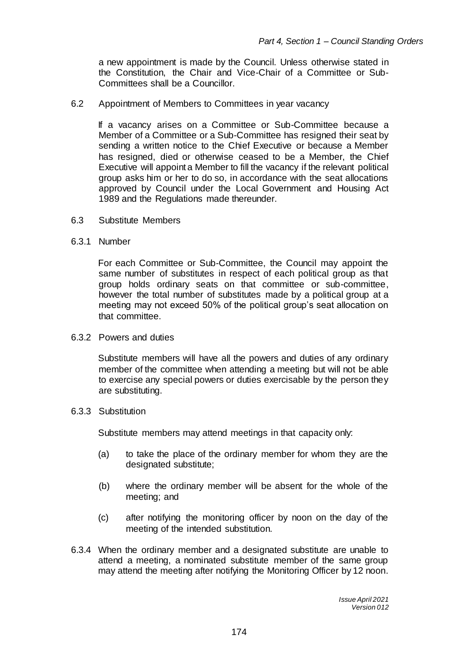a new appointment is made by the Council. Unless otherwise stated in the Constitution, the Chair and Vice-Chair of a Committee or Sub-Committees shall be a Councillor.

6.2 Appointment of Members to Committees in year vacancy

If a vacancy arises on a Committee or Sub-Committee because a Member of a Committee or a Sub-Committee has resigned their seat by sending a written notice to the Chief Executive or because a Member has resigned, died or otherwise ceased to be a Member, the Chief Executive will appoint a Member to fill the vacancy if the relevant political group asks him or her to do so, in accordance with the seat allocations approved by Council under the Local Government and Housing Act 1989 and the Regulations made thereunder.

- 6.3 Substitute Members
- 6.3.1 Number

For each Committee or Sub-Committee, the Council may appoint the same number of substitutes in respect of each political group as that group holds ordinary seats on that committee or sub-committee, however the total number of substitutes made by a political group at a meeting may not exceed 50% of the political group's seat allocation on that committee.

6.3.2 Powers and duties

Substitute members will have all the powers and duties of any ordinary member of the committee when attending a meeting but will not be able to exercise any special powers or duties exercisable by the person they are substituting.

6.3.3 Substitution

Substitute members may attend meetings in that capacity only:

- (a) to take the place of the ordinary member for whom they are the designated substitute;
- (b) where the ordinary member will be absent for the whole of the meeting; and
- (c) after notifying the monitoring officer by noon on the day of the meeting of the intended substitution.
- 6.3.4 When the ordinary member and a designated substitute are unable to attend a meeting, a nominated substitute member of the same group may attend the meeting after notifying the Monitoring Officer by 12 noon.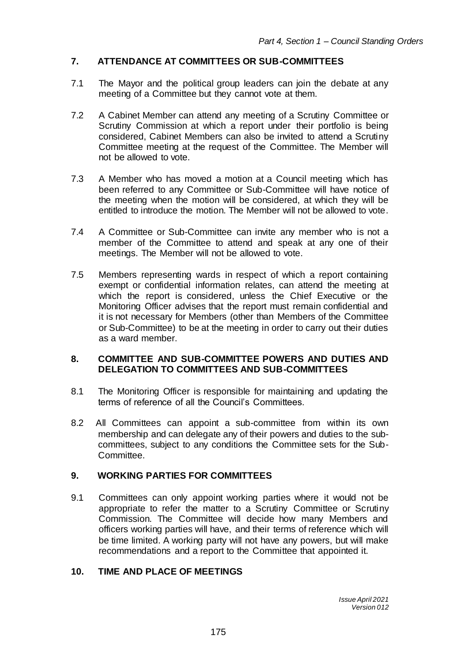# **7. ATTENDANCE AT COMMITTEES OR SUB-COMMITTEES**

- 7.1 The Mayor and the political group leaders can join the debate at any meeting of a Committee but they cannot vote at them.
- 7.2 A Cabinet Member can attend any meeting of a Scrutiny Committee or Scrutiny Commission at which a report under their portfolio is being considered, Cabinet Members can also be invited to attend a Scrutiny Committee meeting at the request of the Committee. The Member will not be allowed to vote.
- 7.3 A Member who has moved a motion at a Council meeting which has been referred to any Committee or Sub-Committee will have notice of the meeting when the motion will be considered, at which they will be entitled to introduce the motion. The Member will not be allowed to vote.
- 7.4 A Committee or Sub-Committee can invite any member who is not a member of the Committee to attend and speak at any one of their meetings. The Member will not be allowed to vote.
- 7.5 Members representing wards in respect of which a report containing exempt or confidential information relates, can attend the meeting at which the report is considered, unless the Chief Executive or the Monitoring Officer advises that the report must remain confidential and it is not necessary for Members (other than Members of the Committee or Sub-Committee) to be at the meeting in order to carry out their duties as a ward member.

### **8. COMMITTEE AND SUB-COMMITTEE POWERS AND DUTIES AND DELEGATION TO COMMITTEES AND SUB-COMMITTEES**

- 8.1 The Monitoring Officer is responsible for maintaining and updating the terms of reference of all the Council's Committees.
- 8.2 All Committees can appoint a sub-committee from within its own membership and can delegate any of their powers and duties to the subcommittees, subject to any conditions the Committee sets for the Sub-Committee.

### **9. WORKING PARTIES FOR COMMITTEES**

9.1 Committees can only appoint working parties where it would not be appropriate to refer the matter to a Scrutiny Committee or Scrutiny Commission. The Committee will decide how many Members and officers working parties will have, and their terms of reference which will be time limited. A working party will not have any powers, but will make recommendations and a report to the Committee that appointed it.

### **10. TIME AND PLACE OF MEETINGS**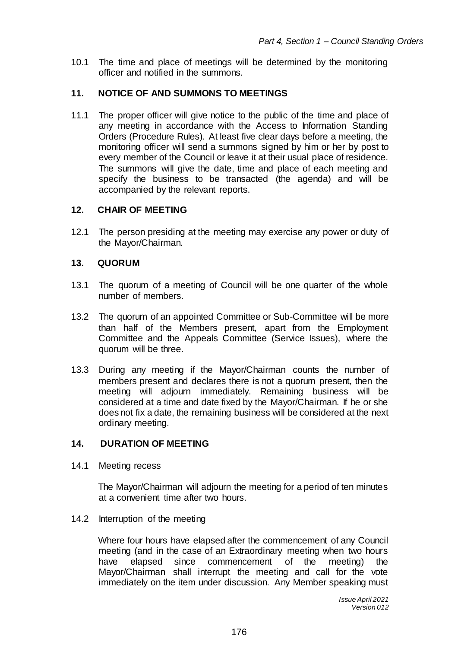10.1 The time and place of meetings will be determined by the monitoring officer and notified in the summons.

# **11. NOTICE OF AND SUMMONS TO MEETINGS**

11.1 The proper officer will give notice to the public of the time and place of any meeting in accordance with the Access to Information Standing Orders (Procedure Rules). At least five clear days before a meeting, the monitoring officer will send a summons signed by him or her by post to every member of the Council or leave it at their usual place of residence. The summons will give the date, time and place of each meeting and specify the business to be transacted (the agenda) and will be accompanied by the relevant reports.

### **12. CHAIR OF MEETING**

12.1 The person presiding at the meeting may exercise any power or duty of the Mayor/Chairman.

### **13. QUORUM**

- 13.1 The quorum of a meeting of Council will be one quarter of the whole number of members.
- 13.2 The quorum of an appointed Committee or Sub-Committee will be more than half of the Members present, apart from the Employment Committee and the Appeals Committee (Service Issues), where the quorum will be three.
- 13.3 During any meeting if the Mayor/Chairman counts the number of members present and declares there is not a quorum present, then the meeting will adjourn immediately. Remaining business will be considered at a time and date fixed by the Mayor/Chairman. If he or she does not fix a date, the remaining business will be considered at the next ordinary meeting.

# **14. DURATION OF MEETING**

14.1 Meeting recess

The Mayor/Chairman will adjourn the meeting for a period of ten minutes at a convenient time after two hours.

14.2 Interruption of the meeting

Where four hours have elapsed after the commencement of any Council meeting (and in the case of an Extraordinary meeting when two hours have elapsed since commencement of the meeting) the Mayor/Chairman shall interrupt the meeting and call for the vote immediately on the item under discussion. Any Member speaking must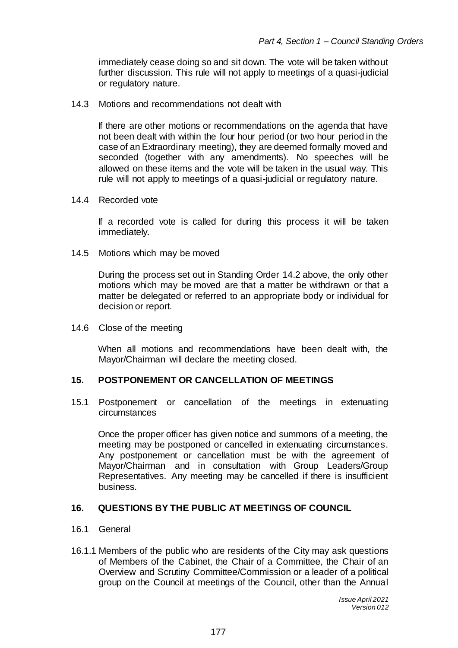immediately cease doing so and sit down. The vote will be taken without further discussion. This rule will not apply to meetings of a quasi-judicial or regulatory nature.

14.3 Motions and recommendations not dealt with

If there are other motions or recommendations on the agenda that have not been dealt with within the four hour period (or two hour period in the case of an Extraordinary meeting), they are deemed formally moved and seconded (together with any amendments). No speeches will be allowed on these items and the vote will be taken in the usual way. This rule will not apply to meetings of a quasi-judicial or regulatory nature.

#### 14.4 Recorded vote

If a recorded vote is called for during this process it will be taken immediately.

14.5 Motions which may be moved

During the process set out in Standing Order 14.2 above, the only other motions which may be moved are that a matter be withdrawn or that a matter be delegated or referred to an appropriate body or individual for decision or report.

14.6 Close of the meeting

When all motions and recommendations have been dealt with, the Mayor/Chairman will declare the meeting closed.

#### **15. POSTPONEMENT OR CANCELLATION OF MEETINGS**

15.1 Postponement or cancellation of the meetings in extenuating circumstances

Once the proper officer has given notice and summons of a meeting, the meeting may be postponed or cancelled in extenuating circumstances. Any postponement or cancellation must be with the agreement of Mayor/Chairman and in consultation with Group Leaders/Group Representatives. Any meeting may be cancelled if there is insufficient business.

#### **16. QUESTIONS BY THE PUBLIC AT MEETINGS OF COUNCIL**

#### 16.1 General

16.1.1 Members of the public who are residents of the City may ask questions of Members of the Cabinet, the Chair of a Committee, the Chair of an Overview and Scrutiny Committee/Commission or a leader of a political group on the Council at meetings of the Council, other than the Annual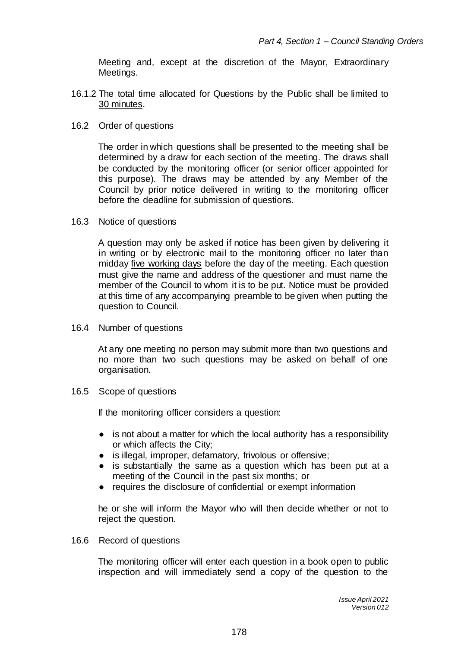Meeting and, except at the discretion of the Mayor, Extraordinary Meetings.

- 16.1.2 The total time allocated for Questions by the Public shall be limited to 30 minutes.
- 16.2 Order of questions

The order in which questions shall be presented to the meeting shall be determined by a draw for each section of the meeting. The draws shall be conducted by the monitoring officer (or senior officer appointed for this purpose). The draws may be attended by any Member of the Council by prior notice delivered in writing to the monitoring officer before the deadline for submission of questions.

16.3 Notice of questions

A question may only be asked if notice has been given by delivering it in writing or by electronic mail to the monitoring officer no later than midday five working days before the day of the meeting. Each question must give the name and address of the questioner and must name the member of the Council to whom it is to be put. Notice must be provided at this time of any accompanying preamble to be given when putting the question to Council.

16.4 Number of questions

At any one meeting no person may submit more than two questions and no more than two such questions may be asked on behalf of one organisation.

16.5 Scope of questions

If the monitoring officer considers a question:

- is not about a matter for which the local authority has a responsibility or which affects the City;
- is illegal, improper, defamatory, frivolous or offensive;
- is substantially the same as a question which has been put at a meeting of the Council in the past six months; or
- requires the disclosure of confidential or exempt information

he or she will inform the Mayor who will then decide whether or not to reject the question.

16.6 Record of questions

The monitoring officer will enter each question in a book open to public inspection and will immediately send a copy of the question to the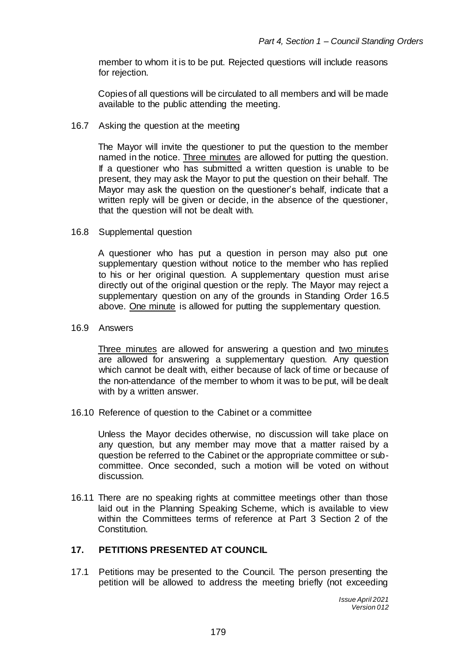member to whom it is to be put. Rejected questions will include reasons for rejection.

Copies of all questions will be circulated to all members and will be made available to the public attending the meeting.

16.7 Asking the question at the meeting

The Mayor will invite the questioner to put the question to the member named in the notice. Three minutes are allowed for putting the question. If a questioner who has submitted a written question is unable to be present, they may ask the Mayor to put the question on their behalf. The Mayor may ask the question on the questioner's behalf, indicate that a written reply will be given or decide, in the absence of the questioner, that the question will not be dealt with.

16.8 Supplemental question

A questioner who has put a question in person may also put one supplementary question without notice to the member who has replied to his or her original question. A supplementary question must arise directly out of the original question or the reply. The Mayor may reject a supplementary question on any of the grounds in Standing Order 16.5 above. One minute is allowed for putting the supplementary question.

16.9 Answers

Three minutes are allowed for answering a question and two minutes are allowed for answering a supplementary question. Any question which cannot be dealt with, either because of lack of time or because of the non-attendance of the member to whom it was to be put, will be dealt with by a written answer.

16.10 Reference of question to the Cabinet or a committee

Unless the Mayor decides otherwise, no discussion will take place on any question, but any member may move that a matter raised by a question be referred to the Cabinet or the appropriate committee or subcommittee. Once seconded, such a motion will be voted on without discussion.

16.11 There are no speaking rights at committee meetings other than those laid out in the Planning Speaking Scheme, which is available to view within the Committees terms of reference at Part 3 Section 2 of the Constitution.

# **17. PETITIONS PRESENTED AT COUNCIL**

17.1 Petitions may be presented to the Council. The person presenting the petition will be allowed to address the meeting briefly (not exceeding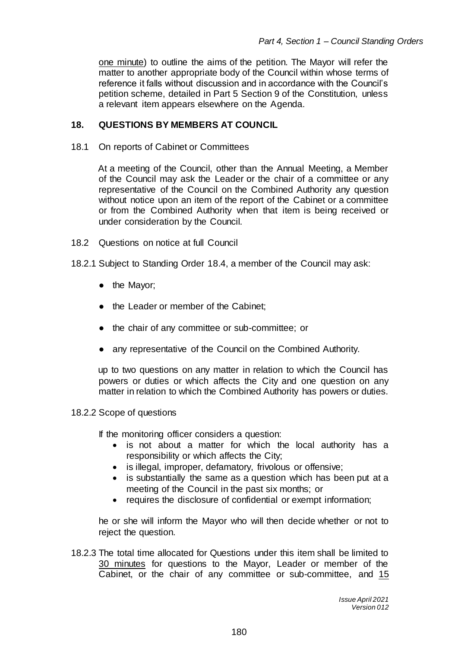one minute) to outline the aims of the petition. The Mayor will refer the matter to another appropriate body of the Council within whose terms of reference it falls without discussion and in accordance with the Council's petition scheme, detailed in Part 5 Section 9 of the Constitution, unless a relevant item appears elsewhere on the Agenda.

### **18. QUESTIONS BY MEMBERS AT COUNCIL**

18.1 On reports of Cabinet or Committees

At a meeting of the Council, other than the Annual Meeting, a Member of the Council may ask the [Leader](http://clients.bonddickinson.com/SmartPrecedentServer/control/SmartPrecedent/revisitQ?id=0%40%2Ffiles%2Flogic%2FCounty+Council+Constitution+-+ALL+ARTICLES+-+05.11.12.lgc%23LeaderMayorSmartPhrase&returndest=eXC_Paragraph_162&tag=513855776) or the chair of a committee or any representative of the Council on the Combined Authority any question without notice upon an item of the report of the [Cabinet](http://clients.bonddickinson.com/SmartPrecedentServer/control/SmartPrecedent/revisitQ?id=0%40%2Ffiles%2Flogic%2FCounty+Council+Constitution+-+ALL+ARTICLES+-+05.11.12.lgc%23ExecutiveCabinetSmartPhrase&returndest=eXC_Paragraph_162&tag=1857307325) or a committee or from the Combined Authority when that item is being received or under consideration by the Council.

- 18.2 Questions on notice at full Council
- 18.2.1 Subject to Standing Order 18.4, a member of the Council may ask:
	- the Mayor;
	- the Leader or member of the Cabinet;
	- the chair of any committee or sub-committee; or
	- any representative of the Council on the Combined Authority.

up to two questions on any matter in relation to which the Council has powers or duties or which affects the City and one question on any matter in relation to which the Combined Authority has powers or duties.

#### 18.2.2 Scope of questions

If the monitoring officer considers a question:

- is not about a matter for which the local authority has a responsibility or which affects the City;
- is illegal, improper, defamatory, frivolous or offensive;
- is substantially the same as a question which has been put at a meeting of the Council in the past six months; or
- requires the disclosure of confidential or exempt information;

he or she will inform the Mayor who will then decide whether or not to reject the question.

18.2.3 The total time allocated for Questions under this item shall be limited to 30 minutes for questions to the Mayor, Leader or member of the Cabinet, or the chair of any committee or sub-committee, and 15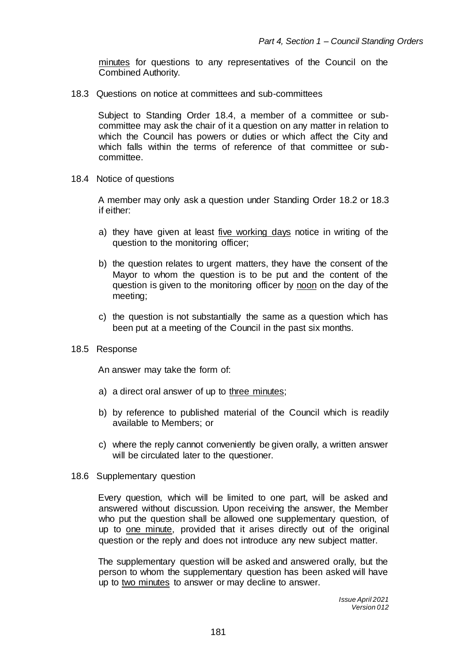minutes for questions to any representatives of the Council on the Combined Authority.

18.3 Questions on notice at committees and sub-committees

Subject to Standing Order 18.4, a member of a committee or subcommittee may ask the chair of it a question on any matter in relation to which the Council has powers or duties or which affect the City and which falls within the terms of reference of that committee or subcommittee.

18.4 Notice of questions

A member may only ask a question under Standing Order 18.2 or 18.3 if either:

- a) they have given at least five working days notice in writing of the question to the monitoring officer;
- b) the question relates to urgent matters, they have the consent of the Mayor to whom the question is to be put and the content of the question is given to the monitoring officer by noon on the day of the meeting;
- c) the question is not substantially the same as a question which has been put at a meeting of the Council in the past six months.
- 18.5 Response

An answer may take the form of:

- a) a direct oral answer of up to three minutes;
- b) by reference to published material of the Council which is readily available to Members; or
- c) where the reply cannot conveniently be given orally, a written answer will be circulated later to the questioner.
- 18.6 Supplementary question

Every question, which will be limited to one part, will be asked and answered without discussion. Upon receiving the answer, the Member who put the question shall be allowed one supplementary question, of up to one minute, provided that it arises directly out of the original question or the reply and does not introduce any new subject matter.

The supplementary question will be asked and answered orally, but the person to whom the supplementary question has been asked will have up to two minutes to answer or may decline to answer.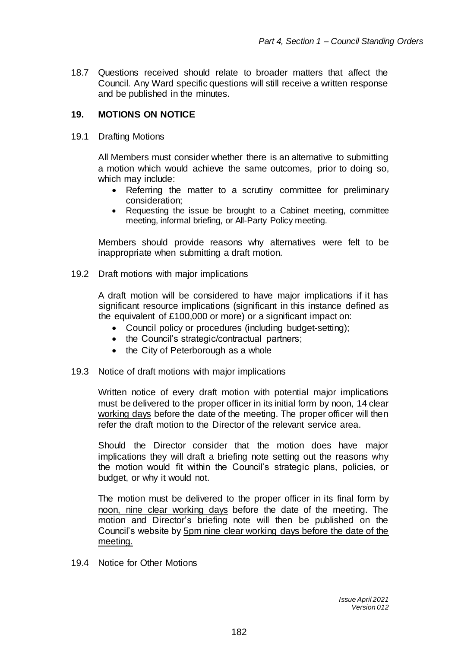18.7 Questions received should relate to broader matters that affect the Council. Any Ward specific questions will still receive a written response and be published in the minutes.

# **19. MOTIONS ON NOTICE**

19.1 Drafting Motions

All Members must consider whether there is an alternative to submitting a motion which would achieve the same outcomes, prior to doing so, which may include:

- Referring the matter to a scrutiny committee for preliminary consideration;
- Requesting the issue be brought to a Cabinet meeting, committee meeting, informal briefing, or All-Party Policy meeting.

Members should provide reasons why alternatives were felt to be inappropriate when submitting a draft motion.

19.2 Draft motions with major implications

A draft motion will be considered to have major implications if it has significant resource implications (significant in this instance defined as the equivalent of £100,000 or more) or a significant impact on:

- Council policy or procedures (including budget-setting);
- the Council's strategic/contractual partners;
- the City of Peterborough as a whole
- 19.3 Notice of draft motions with major implications

Written notice of every draft motion with potential major implications must be delivered to the proper officer in its initial form by noon, 14 clear working days before the date of the meeting. The proper officer will then refer the draft motion to the Director of the relevant service area.

Should the Director consider that the motion does have major implications they will draft a briefing note setting out the reasons why the motion would fit within the Council's strategic plans, policies, or budget, or why it would not.

The motion must be delivered to the proper officer in its final form by noon, nine clear working days before the date of the meeting. The motion and Director's briefing note will then be published on the Council's website by 5pm nine clear working days before the date of the meeting.

19.4 Notice for Other Motions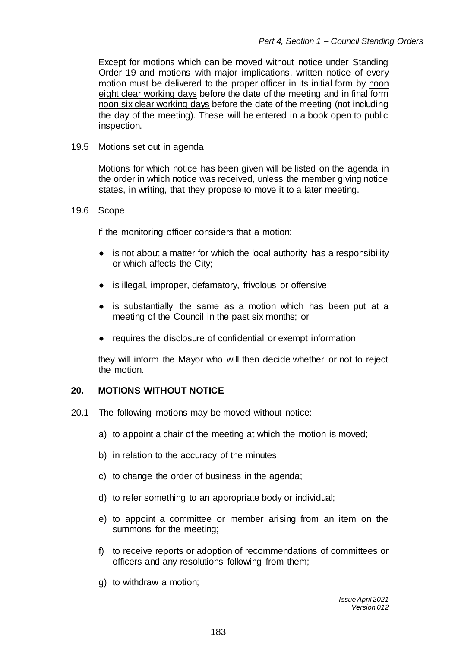Except for motions which can be moved without notice under Standing Order 19 and motions with major implications, written notice of every motion must be delivered to the proper officer in its initial form by noon eight clear working days before the date of the meeting and in final form noon six clear working days before the date of the meeting (not including the day of the meeting). These will be entered in a book open to public inspection.

#### 19.5 Motions set out in agenda

Motions for which notice has been given will be listed on the agenda in the order in which notice was received, unless the member giving notice states, in writing, that they propose to move it to a later meeting.

#### 19.6 Scope

If the monitoring officer considers that a motion:

- is not about a matter for which the local authority has a responsibility or which affects the City;
- is illegal, improper, defamatory, frivolous or offensive;
- is substantially the same as a motion which has been put at a meeting of the Council in the past six months; or
- requires the disclosure of confidential or exempt information

they will inform the Mayor who will then decide whether or not to reject the motion.

#### **20. MOTIONS WITHOUT NOTICE**

- 20.1 The following motions may be moved without notice:
	- a) to appoint a chair of the meeting at which the motion is moved;
	- b) in relation to the accuracy of the minutes;
	- c) to change the order of business in the agenda;
	- d) to refer something to an appropriate body or individual;
	- e) to appoint a committee or member arising from an item on the summons for the meeting;
	- f) to receive reports or adoption of recommendations of committees or officers and any resolutions following from them;
	- g) to withdraw a motion;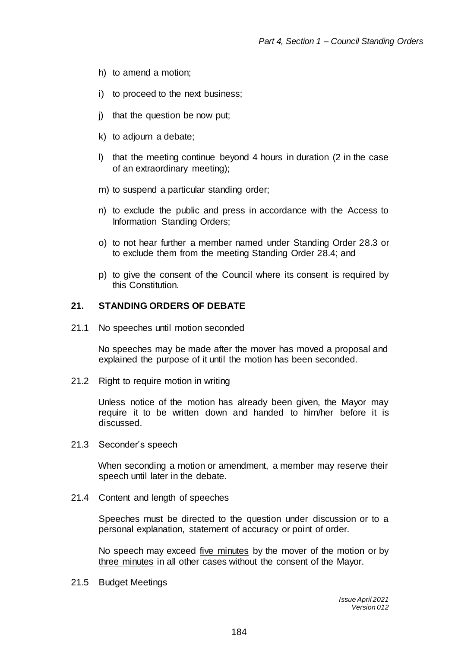- h) to amend a motion;
- i) to proceed to the next business;
- j) that the question be now put;
- k) to adjourn a debate;
- l) that the meeting continue beyond 4 hours in duration (2 in the case of an extraordinary meeting);
- m) to suspend a particular standing order;
- n) to exclude the public and press in accordance with the Access to Information Standing Orders;
- o) to not hear further a member named under Standing Order 28.3 or to exclude them from the meeting Standing Order 28.4; and
- p) to give the consent of the Council where its consent is required by this Constitution.

#### **21. STANDING ORDERS OF DEBATE**

21.1 No speeches until motion seconded

No speeches may be made after the mover has moved a proposal and explained the purpose of it until the motion has been seconded.

21.2 Right to require motion in writing

Unless notice of the motion has already been given, the Mayor may require it to be written down and handed to him/her before it is discussed.

21.3 Seconder's speech

When seconding a motion or amendment, a member may reserve their speech until later in the debate.

21.4 Content and length of speeches

Speeches must be directed to the question under discussion or to a personal explanation, statement of accuracy or point of order.

No speech may exceed five minutes by the mover of the motion or by three minutes in all other cases without the consent of the Mayor.

21.5 Budget Meetings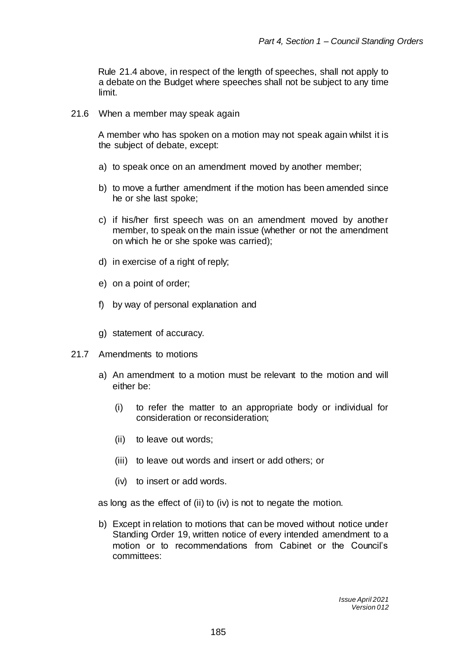Rule 21.4 above, in respect of the length of speeches, shall not apply to a debate on the Budget where speeches shall not be subject to any time limit.

21.6 When a member may speak again

A member who has spoken on a motion may not speak again whilst it is the subject of debate, except:

- a) to speak once on an amendment moved by another member;
- b) to move a further amendment if the motion has been amended since he or she last spoke;
- c) if his/her first speech was on an amendment moved by another member, to speak on the main issue (whether or not the amendment on which he or she spoke was carried);
- d) in exercise of a right of reply;
- e) on a point of order;
- f) by way of personal explanation and
- g) statement of accuracy.
- 21.7 Amendments to motions
	- a) An amendment to a motion must be relevant to the motion and will either be:
		- (i) to refer the matter to an appropriate body or individual for consideration or reconsideration;
		- (ii) to leave out words;
		- (iii) to leave out words and insert or add others; or
		- (iv) to insert or add words.

as long as the effect of (ii) to (iv) is not to negate the motion.

b) Except in relation to motions that can be moved without notice under Standing Order 19, written notice of every intended amendment to a motion or to recommendations from Cabinet or the Council's committees:

> *Issue April 2021 Version 012*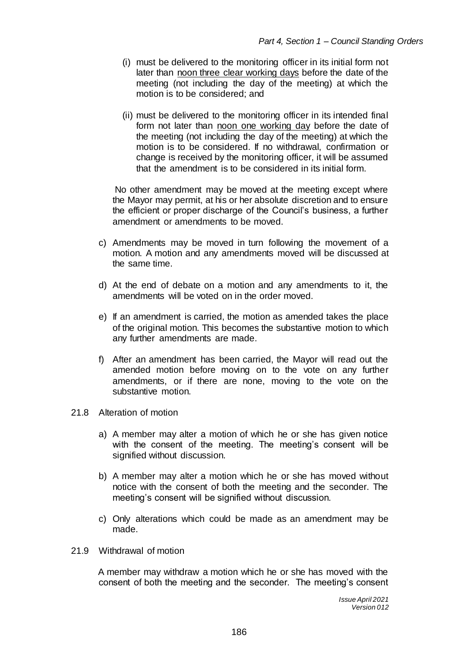- (i) must be delivered to the monitoring officer in its initial form not later than noon three clear working days before the date of the meeting (not including the day of the meeting) at which the motion is to be considered; and
- (ii) must be delivered to the monitoring officer in its intended final form not later than noon one working day before the date of the meeting (not including the day of the meeting) at which the motion is to be considered. If no withdrawal, confirmation or change is received by the monitoring officer, it will be assumed that the amendment is to be considered in its initial form.

No other amendment may be moved at the meeting except where the [Mayor](http://clients.bonddickinson.com/SmartPrecedentServer/control/SmartPrecedent/revisitText?id=0%40%2Ffiles%2Flogic%2FCounty+Council+Constitution+-+ALL+ARTICLES+-+05.11.12.lgc%23CouncilCeremonialMayor.yes&returndest=eXC_Paragraph_95&tag=1105298395) may permit, at his or her absolute discretion and to ensure the efficient or proper discharge of the Council's business, a further amendment or amendments to be moved.

- c) Amendments may be moved in turn following the movement of a motion. A motion and any amendments moved will be discussed at the same time.
- d) At the end of debate on a motion and any amendments to it, the amendments will be voted on in the order moved.
- e) If an amendment is carried, the motion as amended takes the place of the original motion. This becomes the substantive motion to which any further amendments are made.
- f) After an amendment has been carried, the Mayor will read out the amended motion before moving on to the vote on any further amendments, or if there are none, moving to the vote on the substantive motion.
- 21.8 Alteration of motion
	- a) A member may alter a motion of which he or she has given notice with the consent of the meeting. The meeting's consent will be signified without discussion.
	- b) A member may alter a motion which he or she has moved without notice with the consent of both the meeting and the seconder. The meeting's consent will be signified without discussion.
	- c) Only alterations which could be made as an amendment may be made.
- 21.9 Withdrawal of motion

A member may withdraw a motion which he or she has moved with the consent of both the meeting and the seconder. The meeting's consent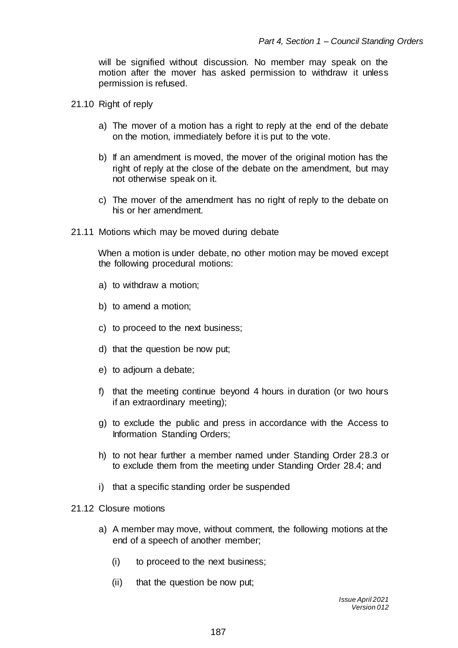will be signified without discussion. No member may speak on the motion after the mover has asked permission to withdraw it unless permission is refused.

- 21.10 Right of reply
	- a) The mover of a motion has a right to reply at the end of the debate on the motion, immediately before it is put to the vote.
	- b) If an amendment is moved, the mover of the original motion has the right of reply at the close of the debate on the amendment, but may not otherwise speak on it.
	- c) The mover of the amendment has no right of reply to the debate on his or her amendment.
- 21.11 Motions which may be moved during debate

When a motion is under debate, no other motion may be moved except the following procedural motions:

- a) to withdraw a motion;
- b) to amend a motion;
- c) to proceed to the next business;
- d) that the question be now put;
- e) to adjourn a debate;
- f) that the meeting continue beyond 4 hours in duration (or two hours if an extraordinary meeting);
- g) to exclude the public and press in accordance with the Access to Information Standing Orders;
- h) to not hear further a member named under Standing Order 28.3 or to exclude them from the meeting under Standing Order 28.4; and
- i) that a specific standing order be suspended

### 21.12 Closure motions

- a) A member may move, without comment, the following motions at the end of a speech of another member;
	- (i) to proceed to the next business;
	- (ii) that the question be now put;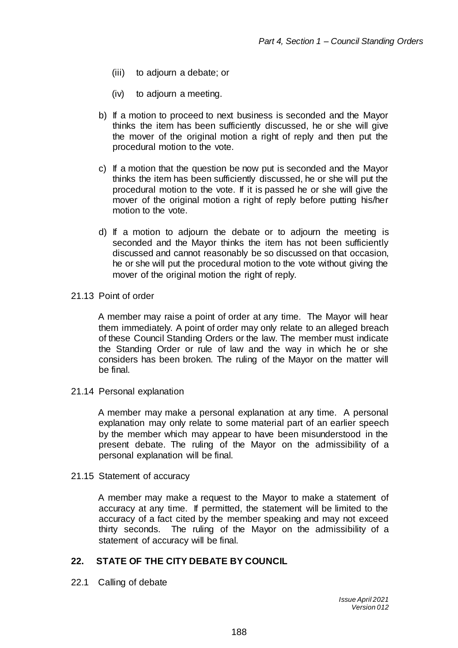- (iii) to adjourn a debate; or
- (iv) to adjourn a meeting.
- b) If a motion to proceed to next business is seconded and the Mayor thinks the item has been sufficiently discussed, he or she will give the mover of the original motion a right of reply and then put the procedural motion to the vote.
- c) If a motion that the question be now put is seconded and the Mayor thinks the item has been sufficiently discussed, he or she will put the procedural motion to the vote. If it is passed he or she will give the mover of the original motion a right of reply before putting his/her motion to the vote.
- d) If a motion to adjourn the debate or to adjourn the meeting is seconded and the Mayor thinks the item has not been sufficiently discussed and cannot reasonably be so discussed on that occasion, he or she will put the procedural motion to the vote without giving the mover of the original motion the right of reply.

#### 21.13 Point of order

A member may raise a point of order at any time. The Mayor will hear them immediately. A point of order may only relate to an alleged breach of these Council Standing Orders or the law. The member must indicate the Standing Order or rule of law and the way in which he or she considers has been broken. The ruling of the Mayor on the matter will be final.

21.14 Personal explanation

A member may make a personal explanation at any time. A personal explanation may only relate to some material part of an earlier speech by the member which may appear to have been misunderstood in the present debate. The ruling of the Mayor on the admissibility of a personal explanation will be final.

#### 21.15 Statement of accuracy

A member may make a request to the Mayor to make a statement of accuracy at any time. If permitted, the statement will be limited to the accuracy of a fact cited by the member speaking and may not exceed thirty seconds. The ruling of the Mayor on the admissibility of a statement of accuracy will be final.

# **22. STATE OF THE CITY DEBATE BY COUNCIL**

22.1 Calling of debate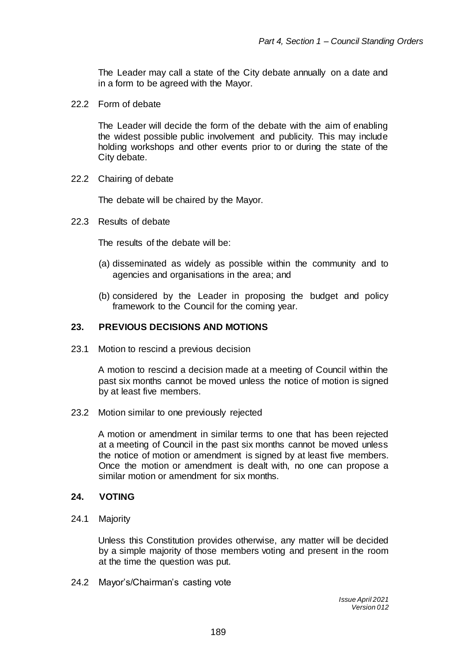The Leader may call a state of the City debate annually on a date and in a form to be agreed with the Mayor.

22.2 Form of debate

The Leader will decide the form of the debate with the aim of enabling the widest possible public involvement and publicity. This may include holding workshops and other events prior to or during the state of the City debate.

22.2 Chairing of debate

The debate will be chaired by the Mayor.

22.3 Results of debate

The results of the debate will be:

- (a) disseminated as widely as possible within the community and to agencies and organisations in the area; and
- (b) considered by the Leader in proposing the budget and policy framework to the Council for the coming year.

#### **23. PREVIOUS DECISIONS AND MOTIONS**

23.1 Motion to rescind a previous decision

A motion to rescind a decision made at a meeting of Council within the past six months cannot be moved unless the notice of motion is signed by at least five members.

23.2 Motion similar to one previously rejected

A motion or amendment in similar terms to one that has been rejected at a meeting of Council in the past six months cannot be moved unless the notice of motion or amendment is signed by at least five members. Once the motion or amendment is dealt with, no one can propose a similar motion or amendment for six months.

#### **24. VOTING**

24.1 Majority

Unless this Constitution provides otherwise, any matter will be decided by a simple majority of those members voting and present in the room at the time the question was put.

24.2 Mayor's/Chairman's casting vote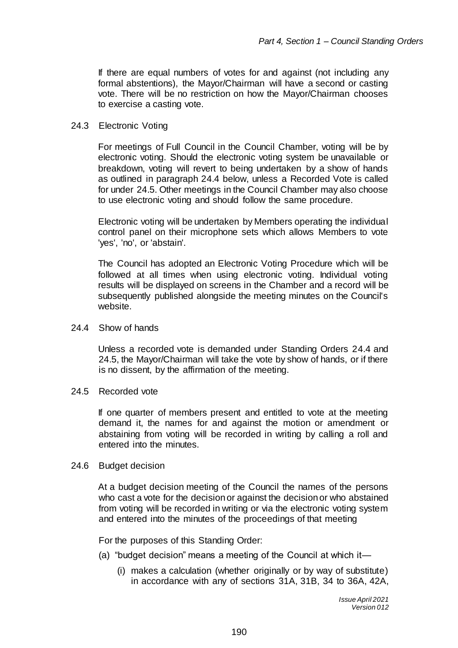If there are equal numbers of votes for and against (not including any formal abstentions), the Mayor/Chairman will have a second or casting vote. There will be no restriction on how the Mayor/Chairman chooses to exercise a casting vote.

#### 24.3 Electronic Voting

For meetings of Full Council in the Council Chamber, voting will be by electronic voting. Should the electronic voting system be unavailable or breakdown, voting will revert to being undertaken by a show of hands as outlined in paragraph 24.4 below, unless a Recorded Vote is called for under 24.5. Other meetings in the Council Chamber may also choose to use electronic voting and should follow the same procedure.

Electronic voting will be undertaken by Members operating the individual control panel on their microphone sets which allows Members to vote 'yes', 'no', or 'abstain'.

The Council has adopted an Electronic Voting Procedure which will be followed at all times when using electronic voting. Individual voting results will be displayed on screens in the Chamber and a record will be subsequently published alongside the meeting minutes on the Council's website.

#### 24.4 Show of hands

Unless a recorded vote is demanded under Standing Orders 24.4 and 24.5, the Mayor/Chairman will take the vote by show of hands, or if there is no dissent, by the affirmation of the meeting.

24.5 Recorded vote

If one quarter of members present and entitled to vote at the meeting demand it, the names for and against the motion or amendment or abstaining from voting will be recorded in writing by calling a roll and entered into the minutes.

#### 24.6 Budget decision

At a budget decision meeting of the Council the names of the persons who cast a vote for the decision or against the decision or who abstained from voting will be recorded in writing or via the electronic voting system and entered into the minutes of the proceedings of that meeting

For the purposes of this Standing Order:

- (a) "budget decision" means a meeting of the Council at which it—
	- (i) makes a calculation (whether originally or by way of substitute) in accordance with any of sections 31A, 31B, 34 to 36A, 42A,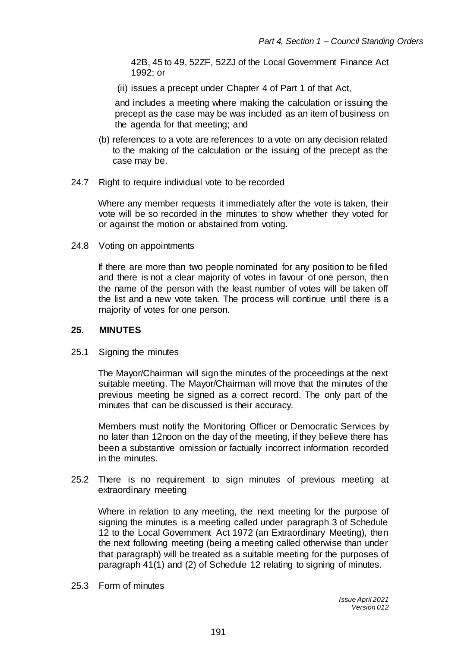42B, 45 to 49, 52ZF, 52ZJ of the Local Government Finance Act 1992; or

(ii) issues a precept under Chapter 4 of Part 1 of that Act,

and includes a meeting where making the calculation or issuing the precept as the case may be was included as an item of business on the agenda for that meeting; and

- (b) references to a vote are references to a vote on any decision related to the making of the calculation or the issuing of the precept as the case may be.
- 24.7 Right to require individual vote to be recorded

Where any member requests it immediately after the vote is taken, their vote will be so recorded in the minutes to show whether they voted for or against the motion or abstained from voting.

24.8 Voting on appointments

If there are more than two people nominated for any position to be filled and there is not a clear majority of votes in favour of one person, then the name of the person with the least number of votes will be taken off the list and a new vote taken. The process will continue until there is a majority of votes for one person.

### **25. MINUTES**

25.1 Signing the minutes

The Mayor/Chairman will sign the minutes of the proceedings at the next suitable meeting. The Mayor/Chairman will move that the minutes of the previous meeting be signed as a correct record. The only part of the minutes that can be discussed is their accuracy.

Members must notify the Monitoring Officer or Democratic Services by no later than 12noon on the day of the meeting, if they believe there has been a substantive omission or factually incorrect information recorded in the minutes.

25.2 There is no requirement to sign minutes of previous meeting at extraordinary meeting

Where in relation to any meeting, the next meeting for the purpose of signing the minutes is a meeting called under paragraph 3 of Schedule 12 to the Local Government Act 1972 (an Extraordinary Meeting), then the next following meeting (being a meeting called otherwise than under that paragraph) will be treated as a suitable meeting for the purposes of paragraph 41(1) and (2) of Schedule 12 relating to signing of minutes.

25.3 Form of minutes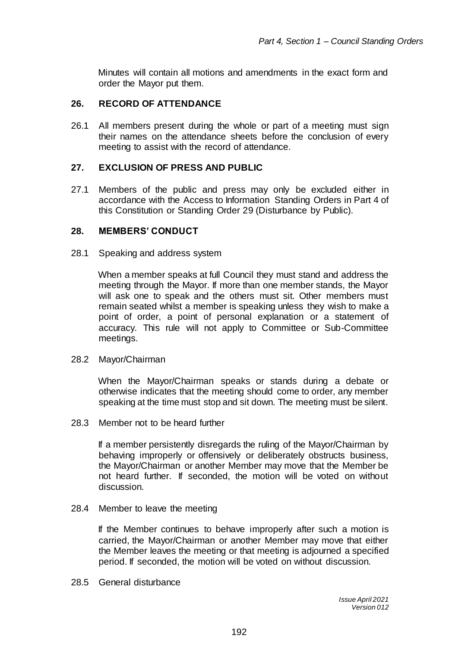Minutes will contain all motions and amendments in the exact form and order the Mayor put them.

# **26. RECORD OF ATTENDANCE**

26.1 All members present during the whole or part of a meeting must sign their names on the attendance sheets before the conclusion of every meeting to assist with the record of attendance.

# **27. EXCLUSION OF PRESS AND PUBLIC**

27.1 Members of the public and press may only be excluded either in accordance with the Access to Information Standing Orders in Part 4 of this Constitution or Standing Order 29 (Disturbance by Public).

### **28. MEMBERS' CONDUCT**

28.1 Speaking and address system

When a member speaks at full Council they must stand and address the meeting through the Mayor. If more than one member stands, the Mayor will ask one to speak and the others must sit. Other members must remain seated whilst a member is speaking unless they wish to make a point of order, a point of personal explanation or a statement of accuracy. This rule will not apply to Committee or Sub-Committee meetings.

#### 28.2 Mayor/Chairman

When the Mayor/Chairman speaks or stands during a debate or otherwise indicates that the meeting should come to order, any member speaking at the time must stop and sit down. The meeting must be silent.

28.3 Member not to be heard further

If a member persistently disregards the ruling of the Mayor/Chairman by behaving improperly or offensively or deliberately obstructs business, the Mayor/Chairman or another Member may move that the Member be not heard further. If seconded, the motion will be voted on without discussion.

#### 28.4 Member to leave the meeting

If the Member continues to behave improperly after such a motion is carried, the Mayor/Chairman or another Member may move that either the Member leaves the meeting or that meeting is adjourned a specified period. If seconded, the motion will be voted on without discussion.

28.5 General disturbance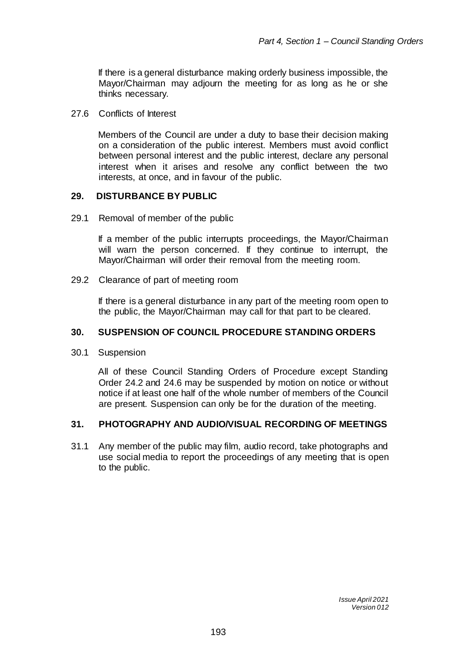If there is a general disturbance making orderly business impossible, the Mayor/Chairman may adjourn the meeting for as long as he or she thinks necessary.

27.6 Conflicts of Interest

Members of the Council are under a duty to base their decision making on a consideration of the public interest. Members must avoid conflict between personal interest and the public interest, declare any personal interest when it arises and resolve any conflict between the two interests, at once, and in favour of the public.

### **29. DISTURBANCE BY PUBLIC**

29.1 Removal of member of the public

If a member of the public interrupts proceedings, the Mayor/Chairman will warn the person concerned. If they continue to interrupt, the Mayor/Chairman will order their removal from the meeting room.

29.2 Clearance of part of meeting room

If there is a general disturbance in any part of the meeting room open to the public, the Mayor/Chairman may call for that part to be cleared.

### **30. SUSPENSION OF COUNCIL PROCEDURE STANDING ORDERS**

30.1 Suspension

All of these Council Standing Orders of Procedure except Standing Order 24.2 and 24.6 may be suspended by motion on notice or without notice if at least one half of the whole number of members of the Council are present. Suspension can only be for the duration of the meeting.

### **31. PHOTOGRAPHY AND AUDIO/VISUAL RECORDING OF MEETINGS**

31.1 Any member of the public may film, audio record, take photographs and use social media to report the proceedings of any meeting that is open to the public.